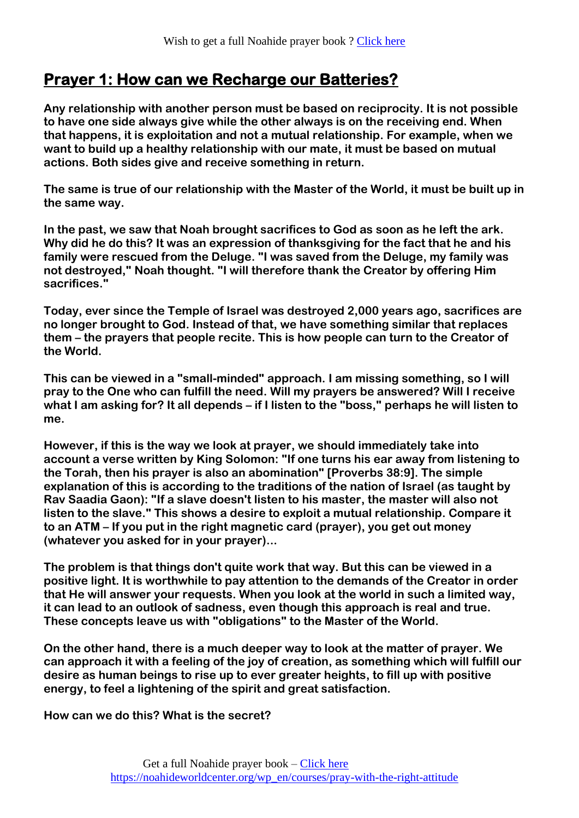## **Prayer 1: How can we Recharge our Batteries?**

**Any relationship with another person must be based on reciprocity. It is not possible to have one side always give while the other always is on the receiving end. When that happens, it is exploitation and not a mutual relationship. For example, when we want to build up a healthy relationship with our mate, it must be based on mutual actions. Both sides give and receive something in return.**

**The same is true of our relationship with the Master of the World, it must be built up in the same way.**

**In the past, we saw that Noah brought sacrifices to God as soon as he left the ark. Why did he do this? It was an expression of thanksgiving for the fact that he and his family were rescued from the Deluge. "I was saved from the Deluge, my family was not destroyed," Noah thought. "I will therefore thank the Creator by offering Him sacrifices."**

**Today, ever since the Temple of Israel was destroyed 2,000 years ago, sacrifices are no longer brought to God. Instead of that, we have something similar that replaces them – the prayers that people recite. This is how people can turn to the Creator of the World.**

**This can be viewed in a "small-minded" approach. I am missing something, so I will pray to the One who can fulfill the need. Will my prayers be answered? Will I receive what I am asking for? It all depends – if I listen to the "boss," perhaps he will listen to me.**

**However, if this is the way we look at prayer, we should immediately take into account a verse written by King Solomon: "If one turns his ear away from listening to the Torah, then his prayer is also an abomination" [Proverbs 38:9]. The simple explanation of this is according to the traditions of the nation of Israel (as taught by Rav Saadia Gaon): "If a slave doesn't listen to his master, the master will also not listen to the slave." This shows a desire to exploit a mutual relationship. Compare it to an ATM – If you put in the right magnetic card (prayer), you get out money (whatever you asked for in your prayer)...**

**The problem is that things don't quite work that way. But this can be viewed in a positive light. It is worthwhile to pay attention to the demands of the Creator in order that He will answer your requests. When you look at the world in such a limited way, it can lead to an outlook of sadness, even though this approach is real and true. These concepts leave us with "obligations" to the Master of the World.**

**On the other hand, there is a much deeper way to look at the matter of prayer. We can approach it with a feeling of the joy of creation, as something which will fulfill our desire as human beings to rise up to ever greater heights, to fill up with positive energy, to feel a lightening of the spirit and great satisfaction.**

**How can we do this? What is the secret?**